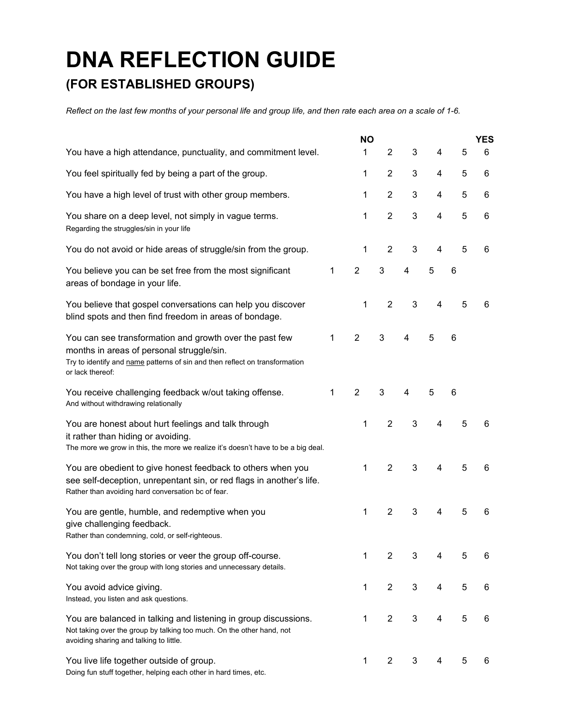## **DNA REFLECTION GUIDE**

## **(FOR ESTABLISHED GROUPS)**

Reflect on the last few months of your personal life and group life, and then rate each area on a scale of 1-6.

|                                                                                                                                                                                                         |   | <b>NO</b>      |                |                |                         |   | <b>YES</b> |
|---------------------------------------------------------------------------------------------------------------------------------------------------------------------------------------------------------|---|----------------|----------------|----------------|-------------------------|---|------------|
| You have a high attendance, punctuality, and commitment level.                                                                                                                                          |   | 1              | $\overline{2}$ | 3              | 4                       | 5 | 6          |
| You feel spiritually fed by being a part of the group.                                                                                                                                                  |   | 1              | $\overline{2}$ | 3              | 4                       | 5 | 6          |
| You have a high level of trust with other group members.                                                                                                                                                |   | 1              | $\overline{2}$ | 3              | 4                       | 5 | 6          |
| You share on a deep level, not simply in vague terms.<br>Regarding the struggles/sin in your life                                                                                                       |   | 1              | $\overline{2}$ | 3              | 4                       | 5 | 6          |
| You do not avoid or hide areas of struggle/sin from the group.                                                                                                                                          |   | 1              | $\overline{2}$ | 3              | $\overline{\mathbf{4}}$ | 5 | 6          |
| You believe you can be set free from the most significant<br>areas of bondage in your life.                                                                                                             | 1 | $\overline{2}$ | 3              | 4              | 5                       | 6 |            |
| You believe that gospel conversations can help you discover<br>blind spots and then find freedom in areas of bondage.                                                                                   |   | 1              | $\overline{2}$ | 3              | $\overline{\mathbf{4}}$ | 5 | 6          |
| You can see transformation and growth over the past few<br>months in areas of personal struggle/sin.<br>Try to identify and name patterns of sin and then reflect on transformation<br>or lack thereof: | 1 | $\overline{2}$ | 3              | 4              | 5                       | 6 |            |
| You receive challenging feedback w/out taking offense.<br>And without withdrawing relationally                                                                                                          | 1 | $\overline{2}$ | 3              | $\overline{4}$ | 5                       | 6 |            |
| You are honest about hurt feelings and talk through<br>it rather than hiding or avoiding.<br>The more we grow in this, the more we realize it's doesn't have to be a big deal.                          |   | 1              | $\overline{2}$ | 3              | 4                       | 5 | 6          |
| You are obedient to give honest feedback to others when you<br>see self-deception, unrepentant sin, or red flags in another's life.<br>Rather than avoiding hard conversation bc of fear.               |   | 1              | $\overline{2}$ | 3              | 4                       | 5 | 6          |
| You are gentle, humble, and redemptive when you<br>give challenging feedback.<br>Rather than condemning, cold, or self-righteous.                                                                       |   | 1              | $\overline{2}$ | 3              | 4                       | 5 | 6          |
| You don't tell long stories or veer the group off-course.<br>Not taking over the group with long stories and unnecessary details.                                                                       |   | 1              | 2              | 3              | 4                       | 5 | 6          |
| You avoid advice giving.<br>Instead, you listen and ask questions.                                                                                                                                      |   | 1              | $\overline{2}$ | 3              | 4                       | 5 | 6          |
| You are balanced in talking and listening in group discussions.<br>Not taking over the group by talking too much. On the other hand, not<br>avoiding sharing and talking to little.                     |   | 1              | $\overline{2}$ | 3              | 4                       | 5 | 6          |
| You live life together outside of group.<br>Doing fun stuff together, helping each other in hard times, etc.                                                                                            |   | 1              | $\overline{2}$ | 3              | 4                       | 5 | 6          |